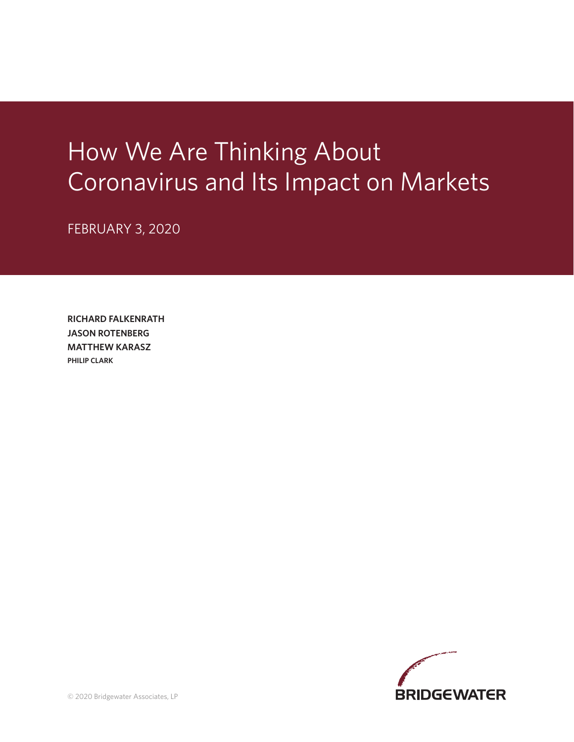# How We Are Thinking About Coronavirus and Its Impact on Markets

FEBRUARY 3, 2020

**RICHARD FALKENRATH JASON ROTENBERG MATTHEW KARASZ PHILIP CLARK**

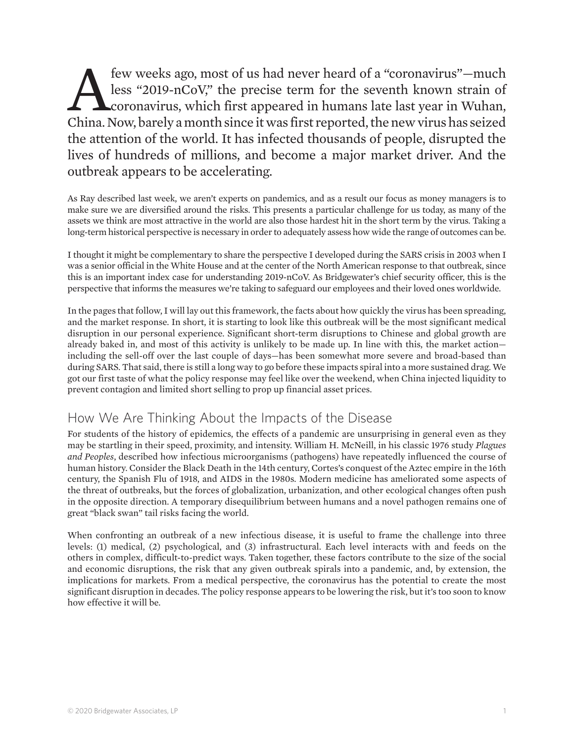few weeks ago, most of us had never heard of a "coronavirus"—much<br>less "2019-nCoV," the precise term for the seventh known strain of<br>coronavirus, which first appeared in humans late last year in Wuhan,<br>China Now barely a m less "2019-nCoV," the precise term for the seventh known strain of coronavirus, which first appeared in humans late last year in Wuhan, China. Now, barely a month since it was first reported, the new virus has seized the attention of the world. It has infected thousands of people, disrupted the lives of hundreds of millions, and become a major market driver. And the outbreak appears to be accelerating.

As Ray described last week, we aren't experts on pandemics, and as a result our focus as money managers is to make sure we are diversified around the risks. This presents a particular challenge for us today, as many of the assets we think are most attractive in the world are also those hardest hit in the short term by the virus. Taking a long-term historical perspective is necessary in order to adequately assess how wide the range of outcomes can be.

I thought it might be complementary to share the perspective I developed during the SARS crisis in 2003 when I was a senior official in the White House and at the center of the North American response to that outbreak, since this is an important index case for understanding 2019-nCoV. As Bridgewater's chief security officer, this is the perspective that informs the measures we're taking to safeguard our employees and their loved ones worldwide.

In the pages that follow, I will lay out this framework, the facts about how quickly the virus has been spreading, and the market response. In short, it is starting to look like this outbreak will be the most significant medical disruption in our personal experience. Significant short-term disruptions to Chinese and global growth are already baked in, and most of this activity is unlikely to be made up. In line with this, the market action including the sell-off over the last couple of days—has been somewhat more severe and broad-based than during SARS. That said, there is still a long way to go before these impacts spiral into a more sustained drag. We got our first taste of what the policy response may feel like over the weekend, when China injected liquidity to prevent contagion and limited short selling to prop up financial asset prices.

### How We Are Thinking About the Impacts of the Disease

For students of the history of epidemics, the effects of a pandemic are unsurprising in general even as they may be startling in their speed, proximity, and intensity. William H. McNeill, in his classic 1976 study *Plagues and Peoples*, described how infectious microorganisms (pathogens) have repeatedly influenced the course of human history. Consider the Black Death in the 14th century, Cortes's conquest of the Aztec empire in the 16th century, the Spanish Flu of 1918, and AIDS in the 1980s. Modern medicine has ameliorated some aspects of the threat of outbreaks, but the forces of globalization, urbanization, and other ecological changes often push in the opposite direction. A temporary disequilibrium between humans and a novel pathogen remains one of great "black swan" tail risks facing the world.

When confronting an outbreak of a new infectious disease, it is useful to frame the challenge into three levels: (1) medical, (2) psychological, and (3) infrastructural. Each level interacts with and feeds on the others in complex, difficult-to-predict ways. Taken together, these factors contribute to the size of the social and economic disruptions, the risk that any given outbreak spirals into a pandemic, and, by extension, the implications for markets. From a medical perspective, the coronavirus has the potential to create the most significant disruption in decades. The policy response appears to be lowering the risk, but it's too soon to know how effective it will be.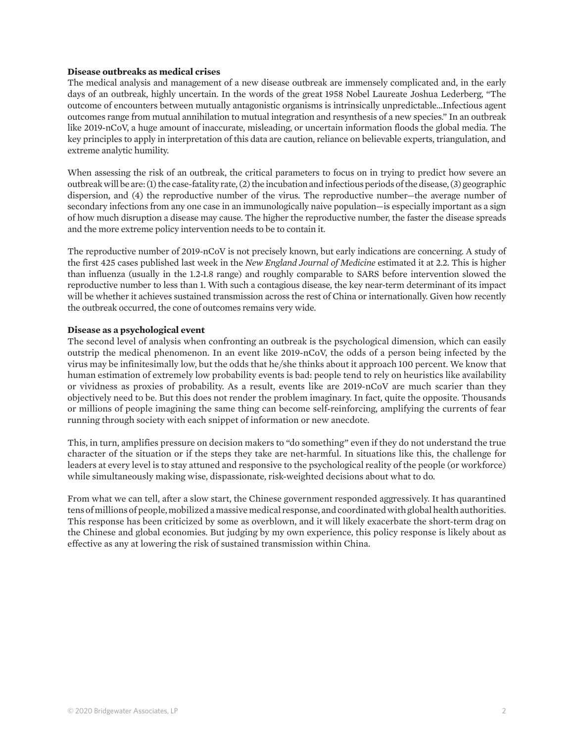#### **Disease outbreaks as medical crises**

The medical analysis and management of a new disease outbreak are immensely complicated and, in the early days of an outbreak, highly uncertain. In the words of the great 1958 Nobel Laureate Joshua Lederberg, "The outcome of encounters between mutually antagonistic organisms is intrinsically unpredictable…Infectious agent outcomes range from mutual annihilation to mutual integration and resynthesis of a new species." In an outbreak like 2019-nCoV, a huge amount of inaccurate, misleading, or uncertain information floods the global media. The key principles to apply in interpretation of this data are caution, reliance on believable experts, triangulation, and extreme analytic humility.

When assessing the risk of an outbreak, the critical parameters to focus on in trying to predict how severe an outbreak will be are: (1) the case-fatality rate, (2) the incubation and infectious periods of the disease, (3) geographic dispersion, and (4) the reproductive number of the virus. The reproductive number—the average number of secondary infections from any one case in an immunologically naive population—is especially important as a sign of how much disruption a disease may cause. The higher the reproductive number, the faster the disease spreads and the more extreme policy intervention needs to be to contain it.

The reproductive number of 2019-nCoV is not precisely known, but early indications are concerning. A study of the first 425 cases published last week in the *New England Journal of Medicine* estimated it at 2.2. This is higher than influenza (usually in the 1.2-1.8 range) and roughly comparable to SARS before intervention slowed the reproductive number to less than 1. With such a contagious disease, the key near-term determinant of its impact will be whether it achieves sustained transmission across the rest of China or internationally. Given how recently the outbreak occurred, the cone of outcomes remains very wide.

#### **Disease as a psychological event**

The second level of analysis when confronting an outbreak is the psychological dimension, which can easily outstrip the medical phenomenon. In an event like 2019-nCoV, the odds of a person being infected by the virus may be infinitesimally low, but the odds that he/she thinks about it approach 100 percent. We know that human estimation of extremely low probability events is bad: people tend to rely on heuristics like availability or vividness as proxies of probability. As a result, events like are 2019-nCoV are much scarier than they objectively need to be. But this does not render the problem imaginary. In fact, quite the opposite. Thousands or millions of people imagining the same thing can become self-reinforcing, amplifying the currents of fear running through society with each snippet of information or new anecdote.

This, in turn, amplifies pressure on decision makers to "do something" even if they do not understand the true character of the situation or if the steps they take are net-harmful. In situations like this, the challenge for leaders at every level is to stay attuned and responsive to the psychological reality of the people (or workforce) while simultaneously making wise, dispassionate, risk-weighted decisions about what to do.

From what we can tell, after a slow start, the Chinese government responded aggressively. It has quarantined tens of millions of people, mobilized a massive medical response, and coordinated with global health authorities. This response has been criticized by some as overblown, and it will likely exacerbate the short-term drag on the Chinese and global economies. But judging by my own experience, this policy response is likely about as effective as any at lowering the risk of sustained transmission within China.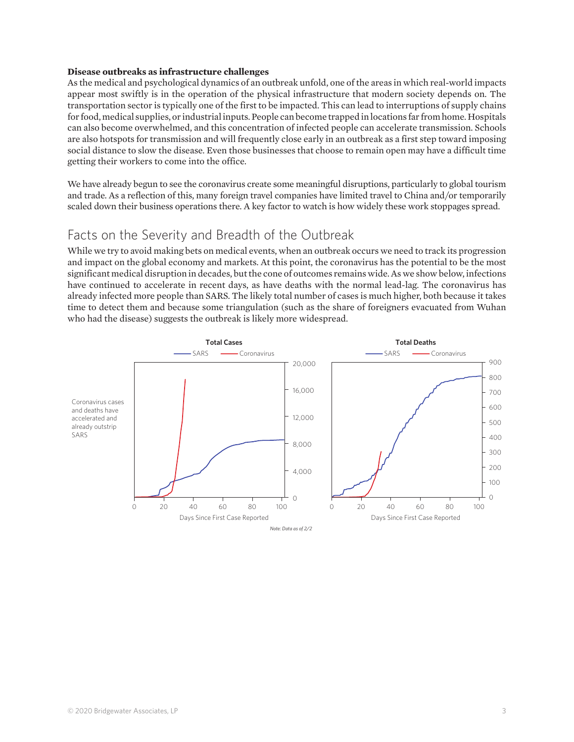#### **Disease outbreaks as infrastructure challenges**

As the medical and psychological dynamics of an outbreak unfold, one of the areas in which real-world impacts appear most swiftly is in the operation of the physical infrastructure that modern society depends on. The transportation sector is typically one of the first to be impacted. This can lead to interruptions of supply chains for food, medical supplies, or industrial inputs. People can become trapped in locations far from home. Hospitals can also become overwhelmed, and this concentration of infected people can accelerate transmission. Schools are also hotspots for transmission and will frequently close early in an outbreak as a first step toward imposing social distance to slow the disease. Even those businesses that choose to remain open may have a difficult time getting their workers to come into the office.

We have already begun to see the coronavirus create some meaningful disruptions, particularly to global tourism and trade. As a reflection of this, many foreign travel companies have limited travel to China and/or temporarily scaled down their business operations there. A key factor to watch is how widely these work stoppages spread.

## Facts on the Severity and Breadth of the Outbreak

While we try to avoid making bets on medical events, when an outbreak occurs we need to track its progression and impact on the global economy and markets. At this point, the coronavirus has the potential to be the most significant medical disruption in decades, but the cone of outcomes remains wide. As we show below, infections have continued to accelerate in recent days, as have deaths with the normal lead-lag. The coronavirus has already infected more people than SARS. The likely total number of cases is much higher, both because it takes time to detect them and because some triangulation (such as the share of foreigners evacuated from Wuhan who had the disease) suggests the outbreak is likely more widespread.

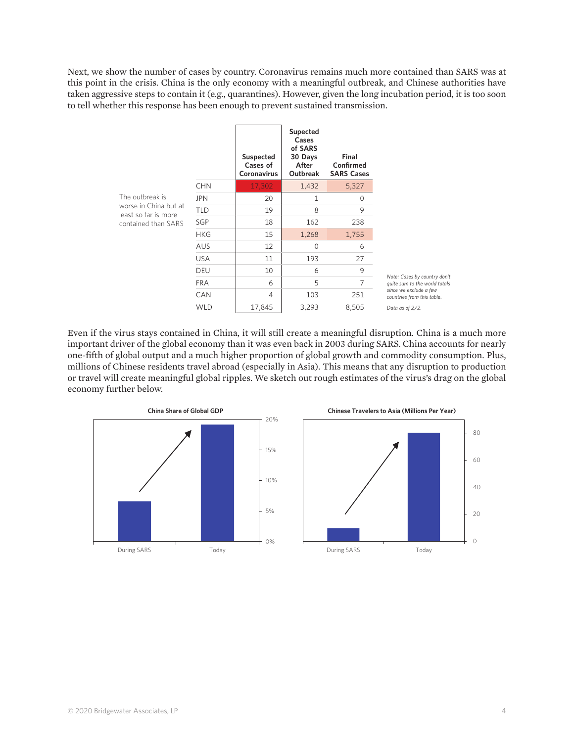Next, we show the number of cases by country. Coronavirus remains much more contained than SARS was at this point in the crisis. China is the only economy with a meaningful outbreak, and Chinese authorities have taken aggressive steps to contain it (e.g., quarantines). However, given the long incubation period, it is too soon to tell whether this response has been enough to prevent sustained transmission.

|                                                                                         |            | Suspected<br>Cases of<br>Coronavirus | Supected<br>Cases<br>of SARS<br>30 Days<br>After<br>Outbreak | Final<br>Confirmed<br><b>SARS Cases</b> |                                                      |
|-----------------------------------------------------------------------------------------|------------|--------------------------------------|--------------------------------------------------------------|-----------------------------------------|------------------------------------------------------|
| The outbreak is<br>worse in China but at<br>least so far is more<br>contained than SARS | <b>CHN</b> | 17,302                               | 1,432                                                        | 5,327                                   |                                                      |
|                                                                                         | <b>JPN</b> | 20                                   | 1                                                            | $\Omega$                                |                                                      |
|                                                                                         | <b>TLD</b> | 19                                   | 8                                                            | 9                                       |                                                      |
|                                                                                         | SGP        | 18                                   | 162                                                          | 238                                     |                                                      |
|                                                                                         | <b>HKG</b> | 15                                   | 1,268                                                        | 1,755                                   |                                                      |
|                                                                                         | <b>AUS</b> | 12                                   | $\Omega$                                                     | 6                                       |                                                      |
|                                                                                         | <b>USA</b> | 11                                   | 193                                                          | 27                                      |                                                      |
|                                                                                         | <b>DEU</b> | 10                                   | 6                                                            | 9                                       | Note: Cases by country don't                         |
|                                                                                         | <b>FRA</b> | 6                                    | 5                                                            | $\overline{7}$                          | quite sum to the world totals                        |
|                                                                                         | CAN        | 4                                    | 103                                                          | 251                                     | since we exclude a few<br>countries from this table. |
|                                                                                         | <b>WLD</b> | 17,845                               | 3,293                                                        | 8,505                                   | Data as of 2/2.                                      |

Even if the virus stays contained in China, it will still create a meaningful disruption. China is a much more important driver of the global economy than it was even back in 2003 during SARS. China accounts for nearly one-fifth of global output and a much higher proportion of global growth and commodity consumption. Plus, millions of Chinese residents travel abroad (especially in Asia). This means that any disruption to production or travel will create meaningful global ripples. We sketch out rough estimates of the virus's drag on the global economy further below.



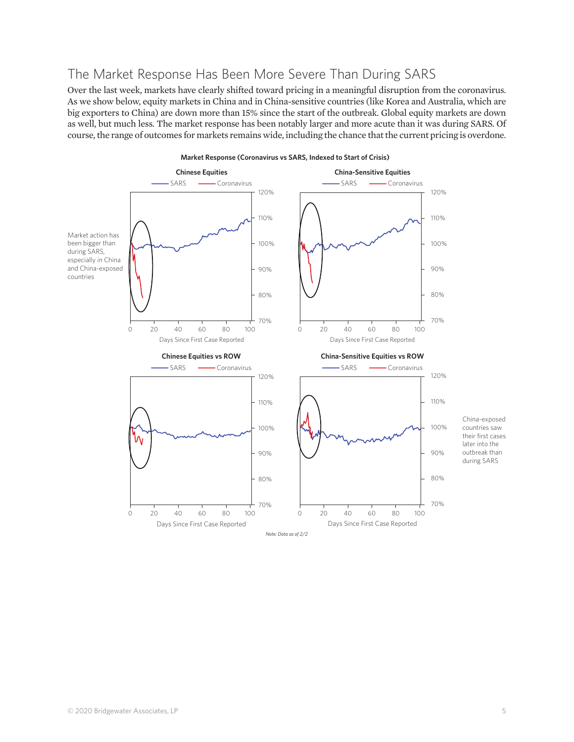## The Market Response Has Been More Severe Than During SARS

Over the last week, markets have clearly shifted toward pricing in a meaningful disruption from the coronavirus. As we show below, equity markets in China and in China-sensitive countries (like Korea and Australia, which are big exporters to China) are down more than 15% since the start of the outbreak. Global equity markets are down as well, but much less. The market response has been notably larger and more acute than it was during SARS. Of course, the range of outcomes for markets remains wide, including the chance that the current pricing is overdone.

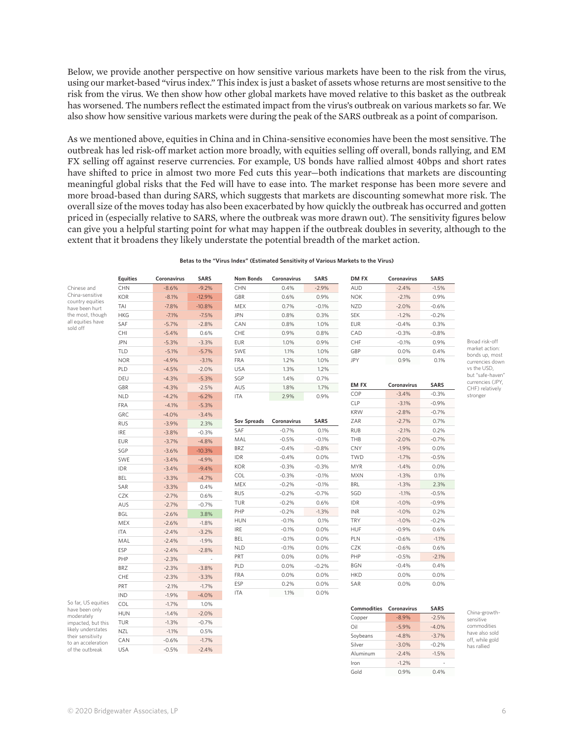Below, we provide another perspective on how sensitive various markets have been to the risk from the virus, using our market-based "virus index." This index is just a basket of assets whose returns are most sensitive to the risk from the virus. We then show how other global markets have moved relative to this basket as the outbreak has worsened. The numbers reflect the estimated impact from the virus's outbreak on various markets so far. We also show how sensitive various markets were during the peak of the SARS outbreak as a point of comparison.

As we mentioned above, equities in China and in China-sensitive economies have been the most sensitive. The outbreak has led risk-off market action more broadly, with equities selling off overall, bonds rallying, and EM FX selling off against reserve currencies. For example, US bonds have rallied almost 40bps and short rates have shifted to price in almost two more Fed cuts this year—both indications that markets are discounting meaningful global risks that the Fed will have to ease into. The market response has been more severe and more broad-based than during SARS, which suggests that markets are discounting somewhat more risk. The overall size of the moves today has also been exacerbated by how quickly the outbreak has occurred and gotten priced in (especially relative to SARS, where the outbreak was more drawn out). The sensitivity figures below can give you a helpful starting point for what may happen if the outbreak doubles in severity, although to the extent that it broadens they likely understate the potential breadth of the market action.

**Betas to the "Virus Index" (Estimated Sensitivity of Various Markets to the Virus)**

|                                                                                                                                        | <b>Equities</b> | Coronavirus | <b>SARS</b> | <b>Nom Bonds</b> | Coronavirus | <b>SARS</b> | DM FX              | Coronavirus | <b>SARS</b> |
|----------------------------------------------------------------------------------------------------------------------------------------|-----------------|-------------|-------------|------------------|-------------|-------------|--------------------|-------------|-------------|
| Chinese and                                                                                                                            | <b>CHN</b>      | $-8.6%$     | $-9.2%$     | <b>CHN</b>       | 0.4%        | $-2.9%$     | <b>AUD</b>         | $-2.4%$     | $-1.5%$     |
| China-sensitive<br>country equities<br>have been hurt<br>the most, though<br>all equities have<br>sold off                             | <b>KOR</b>      | $-8.1%$     | $-12.9%$    | GBR              | 0.6%        | 0.9%        | <b>NOK</b>         | $-2.1%$     | 0.9%        |
|                                                                                                                                        | TAI             | $-7.8%$     | $-10.8%$    | MEX              | 0.7%        | $-0.1%$     | <b>NZD</b>         | $-2.0%$     | $-0.6%$     |
|                                                                                                                                        | <b>HKG</b>      | $-7.1%$     | $-7.5%$     | <b>JPN</b>       | 0.8%        | 0.3%        | SEK                | $-1.2%$     | $-0.2%$     |
|                                                                                                                                        | SAF             | $-5.7%$     | $-2.8%$     | CAN              | 0.8%        | 1.0%        | <b>EUR</b>         | $-0.4%$     | 0.3%        |
|                                                                                                                                        | CHI             | $-5.4%$     | 0.6%        | CHE              | 0.9%        | 0.8%        | CAD                | $-0.3%$     | $-0.8%$     |
|                                                                                                                                        | <b>JPN</b>      | $-5.3%$     | $-3.3%$     | EUR              | 1.0%        | 0.9%        | CHF                | $-0.1%$     | 0.9%        |
|                                                                                                                                        | TLD             | $-5.1%$     | $-5.7%$     | SWE              | 1.1%        | 1.0%        | GBP                | 0.0%        | 0.4%        |
|                                                                                                                                        | <b>NOR</b>      | $-4.9%$     | $-3.1%$     | FRA              | 1.2%        | 1.0%        | JPY                | 0.9%        | 0.1%        |
|                                                                                                                                        | PLD             | $-4.5%$     | $-2.0%$     | USA              | 1.3%        | 1.2%        |                    |             |             |
|                                                                                                                                        | DEU             | $-4.3%$     | $-5.3%$     | SGP              | 1.4%        | 0.7%        |                    |             |             |
|                                                                                                                                        | GBR             | $-4.3%$     | $-2.5%$     | AUS              | 1.8%        | 1.7%        | EM FX              | Coronavirus | <b>SARS</b> |
|                                                                                                                                        | <b>NLD</b>      | $-4.2%$     | $-6.2%$     | ITA              | 2.9%        | 0.9%        | COP                | $-3.4%$     | $-0.3%$     |
|                                                                                                                                        | FRA             | $-4.1%$     | $-5.3%$     |                  |             |             | <b>CLP</b>         | $-3.1%$     | $-0.9%$     |
|                                                                                                                                        | GRC             | $-4.0%$     | $-3.4%$     |                  |             |             | <b>KRW</b>         | $-2.8%$     | $-0.7%$     |
|                                                                                                                                        | <b>RUS</b>      | $-3.9%$     | 2.3%        | Sov Spreads      | Coronavirus | <b>SARS</b> | ZAR                | $-2.7%$     | 0.7%        |
|                                                                                                                                        | IRE             | $-3.8%$     | $-0.3%$     | SAF              | $-0.7%$     | 0.1%        | <b>RUB</b>         | $-2.1%$     | 0.2%        |
|                                                                                                                                        | <b>EUR</b>      | $-3.7%$     | $-4.8%$     | MAL              | $-0.5%$     | $-0.1%$     | THB                | $-2.0%$     | $-0.7%$     |
|                                                                                                                                        | SGP             | $-3.6%$     | $-10.3%$    | BRZ              | $-0.4%$     | $-0.8%$     | <b>CNY</b>         | $-1.9%$     | 0.0%        |
|                                                                                                                                        | SWE             | $-3.4%$     | $-4.9%$     | IDR              | $-0.4%$     | 0.0%        | TWD                | $-1.7%$     | $-0.5%$     |
|                                                                                                                                        | IDR             | $-3.4%$     | $-9.4%$     | KOR              | $-0.3%$     | $-0.3%$     | MYR                | $-1.4%$     | 0.0%        |
|                                                                                                                                        | BEL             | $-3.3%$     | $-4.7%$     | COL              | $-0.3%$     | $-0.1%$     | <b>MXN</b>         | $-1.3%$     | 0.1%        |
|                                                                                                                                        | SAR             | $-3.3%$     | 0.4%        | MEX              | $-0.2%$     | $-0.1%$     | BRL                | $-1.3%$     | 2.3%        |
|                                                                                                                                        | CZK             | $-2.7%$     | 0.6%        | <b>RUS</b>       | $-0.2%$     | $-0.7%$     | SGD                | $-1.1%$     | $-0.5%$     |
|                                                                                                                                        | AUS             | $-2.7%$     | $-0.7%$     | TUR              | $-0.2%$     | 0.6%        | IDR                | $-1.0%$     | $-0.9%$     |
|                                                                                                                                        | BGL             | $-2.6%$     | 3.8%        | PHP              | $-0.2%$     | $-1.3%$     | <b>INR</b>         | $-1.0%$     | 0.2%        |
|                                                                                                                                        | MEX             | $-2.6%$     | $-1.8%$     | <b>HUN</b>       | $-0.1%$     | 0.1%        | TRY                | $-1.0%$     | $-0.2%$     |
|                                                                                                                                        | <b>ITA</b>      | $-2.4%$     | $-3.2%$     | <b>IRE</b>       | $-0.1%$     | 0.0%        | HUF                | $-0.9%$     | 0.6%        |
|                                                                                                                                        | MAL             | $-2.4%$     | $-1.9%$     | BEL              | $-0.1%$     | 0.0%        | PLN                | $-0.6%$     | $-1.1%$     |
|                                                                                                                                        | ESP             | $-2.4%$     | $-2.8%$     | <b>NLD</b>       | $-0.1%$     | 0.0%        | CZK                | $-0.6%$     | 0.6%        |
|                                                                                                                                        | PHP             | $-2.3%$     |             | PRT              | 0.0%        | 0.0%        | PHP                | $-0.5%$     | $-2.1%$     |
|                                                                                                                                        | <b>BRZ</b>      | $-2.3%$     | $-3.8%$     | PLD              | 0.0%        | $-0.2%$     | <b>BGN</b>         | $-0.4%$     | 0.4%        |
|                                                                                                                                        | CHE             | $-2.3%$     | $-3.3%$     | FRA              | 0.0%        | 0.0%        | <b>HKD</b>         | 0.0%        | 0.0%        |
|                                                                                                                                        | PRT             | $-2.1%$     | $-1.7%$     | ESP              | 0.2%        | 0.0%        | SAR                | 0.0%        | 0.0%        |
|                                                                                                                                        | <b>IND</b>      | $-1.9%$     | $-4.0%$     | <b>ITA</b>       | 1.1%        | 0.0%        |                    |             |             |
| So far, US equities                                                                                                                    | COL             | $-1.7%$     | 1.0%        |                  |             |             |                    |             |             |
| have been only<br>moderately<br>impacted, but this<br>likely understates<br>their sensitivity<br>to an acceleration<br>of the outbreak | <b>HUN</b>      | $-1.4%$     | $-2.0%$     |                  |             |             | <b>Commodities</b> | Coronavirus | <b>SARS</b> |
|                                                                                                                                        | TUR             | $-1.3%$     | $-0.7%$     |                  |             |             | Copper             | $-8.9%$     | $-2.5%$     |
|                                                                                                                                        | NZL             | $-1.1%$     | 0.5%        |                  |             |             | Oil                | $-5.9%$     | $-4.0%$     |
|                                                                                                                                        | CAN             | $-0.6%$     | $-1.7%$     |                  |             |             | Soybeans           | $-4.8%$     | $-3.7%$     |
|                                                                                                                                        | <b>USA</b>      | $-0.5%$     | $-2.4%$     |                  |             |             | Silver             | $-3.0%$     | $-0.2%$     |
|                                                                                                                                        |                 |             |             |                  |             |             | Aluminum           | $-2.4%$     | $-1.5%$     |

China-growthsensitive commodities have also sold off, while gold has rallied

Broad risk-off market action: bonds up, most currencies down vs the USD, but "safe-haven" currencies (JPY, CHF) relatively stronger

 $Iron$  -1.2%

Gold 0.9% 0.4%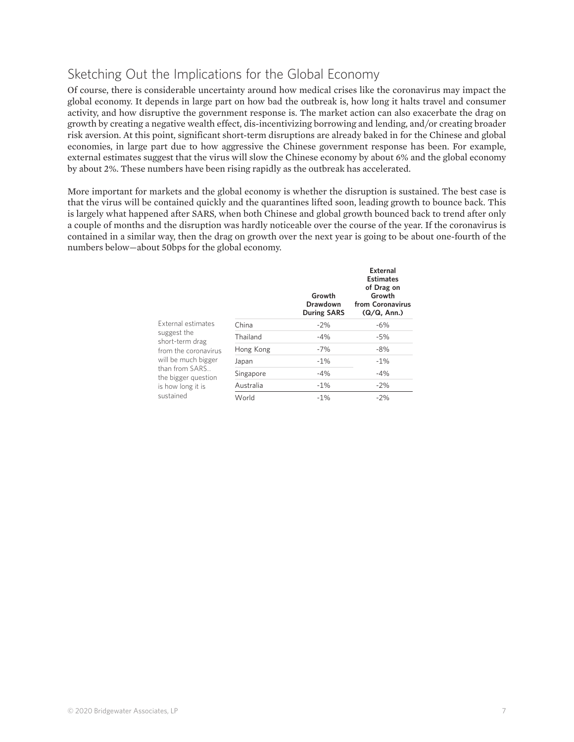## Sketching Out the Implications for the Global Economy

Of course, there is considerable uncertainty around how medical crises like the coronavirus may impact the global economy. It depends in large part on how bad the outbreak is, how long it halts travel and consumer activity, and how disruptive the government response is. The market action can also exacerbate the drag on growth by creating a negative wealth effect, dis-incentivizing borrowing and lending, and/or creating broader risk aversion. At this point, significant short-term disruptions are already baked in for the Chinese and global economies, in large part due to how aggressive the Chinese government response has been. For example, external estimates suggest that the virus will slow the Chinese economy by about 6% and the global economy by about 2%. These numbers have been rising rapidly as the outbreak has accelerated.

More important for markets and the global economy is whether the disruption is sustained. The best case is that the virus will be contained quickly and the quarantines lifted soon, leading growth to bounce back. This is largely what happened after SARS, when both Chinese and global growth bounced back to trend after only a couple of months and the disruption was hardly noticeable over the course of the year. If the coronavirus is contained in a similar way, then the drag on growth over the next year is going to be about one-fourth of the numbers below—about 50bps for the global economy.

|                                                                                                                                                          |           | Growth<br>Drawdown<br><b>During SARS</b> | External<br><b>Estimates</b><br>of Drag on<br>Growth<br>from Coronavirus<br>(Q/Q, Ann.) |
|----------------------------------------------------------------------------------------------------------------------------------------------------------|-----------|------------------------------------------|-----------------------------------------------------------------------------------------|
| External estimates                                                                                                                                       | China     | $-2%$                                    | $-6\%$                                                                                  |
| suggest the<br>short-term drag<br>from the coronavirus<br>will be much bigger<br>than from SARS<br>the bigger question<br>is how long it is<br>sustained | Thailand  | $-4%$                                    | $-5%$                                                                                   |
|                                                                                                                                                          | Hong Kong | $-7%$                                    | $-8%$                                                                                   |
|                                                                                                                                                          | Japan     | $-1\%$                                   | $-1\%$                                                                                  |
|                                                                                                                                                          | Singapore | $-4%$                                    | $-4%$                                                                                   |
|                                                                                                                                                          | Australia | $-1\%$                                   | $-2\%$                                                                                  |
|                                                                                                                                                          | World     | $-1%$                                    | $-2%$                                                                                   |